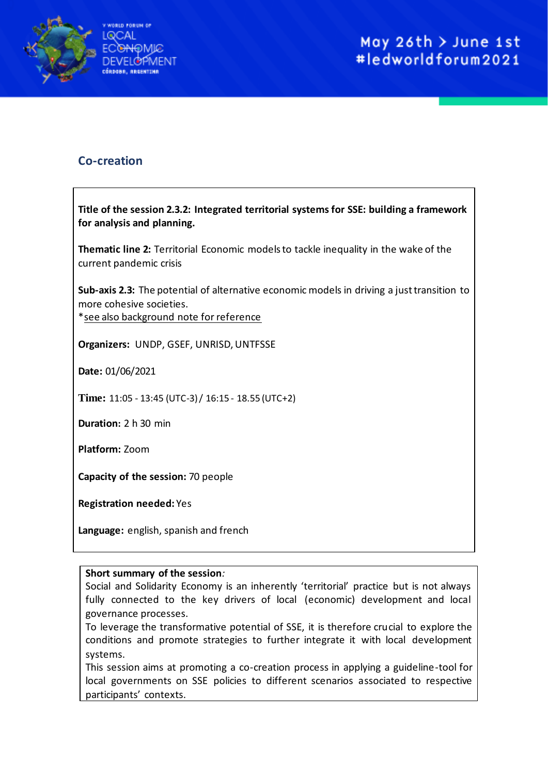

## **Co-creation**

**Title of the session 2.3.2: Integrated territorial systems for SSE: building a framework for analysis and planning.**

**Thematic line 2:** Territorial Economic models to tackle inequality in the wake of the current pandemic crisis

**Sub-axis 2.3:** The potential of alternative economic models in driving a just transition to more cohesive societies.

\*see also background note for reference

**Organizers:** UNDP, GSEF, UNRISD, UNTFSSE

**Date:** 01/06/2021

**Time:** 11:05 - 13:45 (UTC-3) / 16:15 - 18.55 (UTC+2)

**Duration:** 2 h 30 min

**Platform:** Zoom

**Capacity of the session:** 70 people

**Registration needed:** Yes

**Language:** english, spanish and french

## **Short summary of the session***:*

Social and Solidarity Economy is an inherently 'territorial' practice but is not always fully connected to the key drivers of local (economic) development and local governance processes.

To leverage the transformative potential of SSE, it is therefore crucial to explore the conditions and promote strategies to further integrate it with local development systems.

This session aims at promoting a co-creation process in applying a guideline-tool for local governments on SSE policies to different scenarios associated to respective participants' contexts.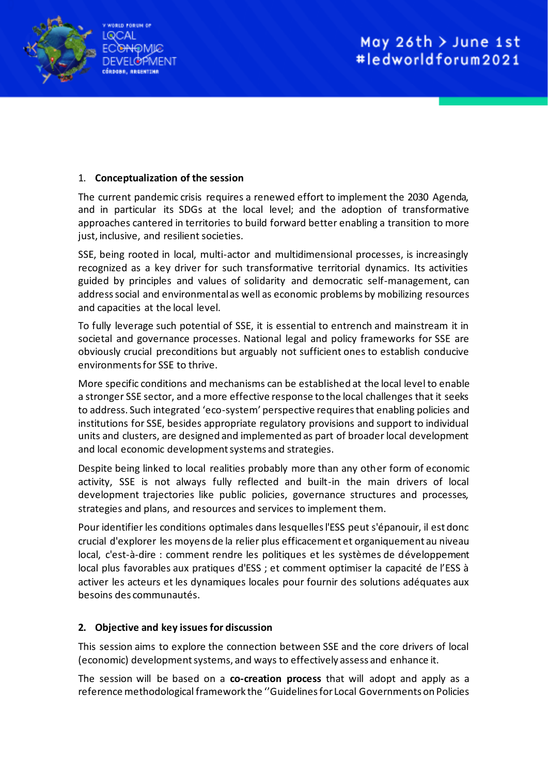

## 1. **Conceptualization of the session**

The current pandemic crisis requires a renewed effort to implement the 2030 Agenda, and in particular its SDGs at the local level; and the adoption of transformative approaches cantered in territories to build forward better enabling a transition to more just, inclusive, and resilient societies.

SSE, being rooted in local, multi-actor and multidimensional processes, is increasingly recognized as a key driver for such transformative territorial dynamics. Its activities guided by principles and values of solidarity and democratic self-management, can address social and environmental as well as economic problems by mobilizing resources and capacities at the local level.

To fully leverage such potential of SSE, it is essential to entrench and mainstream it in societal and governance processes. National legal and policy frameworks for SSE are obviously crucial preconditions but arguably not sufficient ones to establish conducive environments for SSE to thrive.

More specific conditions and mechanisms can be established at the local level to enable a stronger SSE sector, and a more effective response to the local challenges that it seeks to address. Such integrated 'eco-system' perspective requires that enabling policies and institutions for SSE, besides appropriate regulatory provisions and support to individual units and clusters, are designed and implemented as part of broader local development and local economic development systems and strategies.

Despite being linked to local realities probably more than any other form of economic activity, SSE is not always fully reflected and built-in the main drivers of local development trajectories like public policies, governance structures and processes, strategies and plans, and resources and services to implement them.

Pour identifier les conditions optimales dans lesquelles l'ESS peut s'épanouir, il est donc crucial d'explorer les moyens de la relier plus efficacement et organiquement au niveau local, c'est-à-dire : comment rendre les politiques et les systèmes de développement local plus favorables aux pratiques d'ESS ; et comment optimiser la capacité de l'ESS à activer les acteurs et les dynamiques locales pour fournir des solutions adéquates aux besoins des communautés.

## **2. Objective and key issues for discussion**

This session aims to explore the connection between SSE and the core drivers of local (economic) development systems, and ways to effectively assess and enhance it.

The session will be based on a **co-creation process** that will adopt and apply as a reference methodological framework the ''Guidelines for Local Governments on Policies